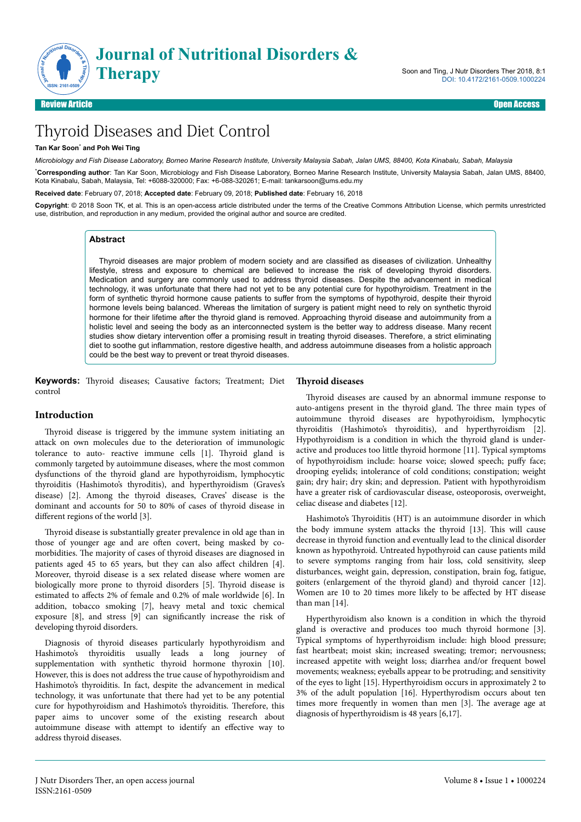

DOI: 10.4172/2161-0509.1000224

Review Article Communication of the contract of the contract of the contract of the contract of the contract of the contract of the contract of the contract of the contract of the contract of the contract of the contract o

# Thyroid Diseases and Diet Control

#### **Tan Kar Soon**\*  **and Poh Wei Ting**

*Microbiology and Fish Disease Laboratory, Borneo Marine Research Institute, University Malaysia Sabah, Jalan UMS, 88400, Kota Kinabalu, Sabah, Malaysia* \***Corresponding author**: Tan Kar Soon, Microbiology and Fish Disease Laboratory, Borneo Marine Research Institute, University Malaysia Sabah, Jalan UMS, 88400, Kota Kinabalu, Sabah, Malaysia, Tel: +6088-320000; Fax: +6-088-320261; E-mail: tankarsoon@ums.edu.my

**Received date**: February 07, 2018; **Accepted date**: February 09, 2018; **Published date**: February 16, 2018

**Copyright**: © 2018 Soon TK, et al. This is an open-access article distributed under the terms of the Creative Commons Attribution License, which permits unrestricted use, distribution, and reproduction in any medium, provided the original author and source are credited.

## **Abstract**

Thyroid diseases are major problem of modern society and are classified as diseases of civilization. Unhealthy lifestyle, stress and exposure to chemical are believed to increase the risk of developing thyroid disorders. Medication and surgery are commonly used to address thyroid diseases. Despite the advancement in medical technology, it was unfortunate that there had not yet to be any potential cure for hypothyroidism. Treatment in the form of synthetic thyroid hormone cause patients to suffer from the symptoms of hypothyroid, despite their thyroid hormone levels being balanced. Whereas the limitation of surgery is patient might need to rely on synthetic thyroid hormone for their lifetime after the thyroid gland is removed. Approaching thyroid disease and autoimmunity from a holistic level and seeing the body as an interconnected system is the better way to address disease. Many recent studies show dietary intervention offer a promising result in treating thyroid diseases. Therefore, a strict eliminating diet to soothe gut inflammation, restore digestive health, and address autoimmune diseases from a holistic approach could be the best way to prevent or treat thyroid diseases.

**Keywords:** Нyroid diseases; Causative factors; Treatment; Diet control

## **Introduction**

Нyroid disease is triggered by the immune system initiating an attack on own molecules due to the deterioration of immunologic tolerance to auto- reactive immune cells [1]. Нyroid gland is commonly targeted by autoimmune diseases, where the most common dysfunctions of the thyroid gland are hypothyroidism, lymphocytic thyroiditis (Hashimoto's thyroditis), and hyperthyroidism (Graves's disease) [2]. Among the thyroid diseases, Craves' disease is the dominant and accounts for 50 to 80% of cases of thyroid disease in different regions of the world [3].

Нyroid disease is substantially greater prevalence in old age than in those of younger age and are often covert, being masked by comorbidities. Нe majority of cases of thyroid diseases are diagnosed in patients aged 45 to 65 years, but they can also affect children [4]. Moreover, thyroid disease is a sex related disease where women are biologically more prone to thyroid disorders [5]. Нyroid disease is estimated to affects 2% of female and 0.2% of male worldwide [6]. In addition, tobacco smoking [7], heavy metal and toxic chemical exposure [8], and stress [9] can significantly increase the risk of developing thyroid disorders.

Diagnosis of thyroid diseases particularly hypothyroidism and Hashimoto's thyroiditis usually leads a long journey of supplementation with synthetic thyroid hormone thyroxin [10]. However, this is does not address the true cause of hypothyroidism and Hashimoto's thyroiditis. In fact, despite the advancement in medical technology, it was unfortunate that there had yet to be any potential cure for hypothyroidism and Hashimoto's thyroiditis. Нerefore, this paper aims to uncover some of the existing research about autoimmune disease with attempt to identify an effective way to address thyroid diseases.

#### **Thyroid** diseases

Нyroid diseases are caused by an abnormal immune response to auto-antigens present in the thyroid gland. Нe three main types of autoimmune thyroid diseases are hypothyroidism, lymphocytic thyroiditis (Hashimoto's thyroiditis), and hyperthyroidism [2]. Hypothyroidism is a condition in which the thyroid gland is underactive and produces too little thyroid hormone [11]. Typical symptoms of hypothyroidism include: hoarse voice; slowed speech; puffy face; drooping eyelids; intolerance of cold conditions; constipation; weight gain; dry hair; dry skin; and depression. Patient with hypothyroidism have a greater risk of cardiovascular disease, osteoporosis, overweight, celiac disease and diabetes [12].

Hashimoto's Нyroiditis (HT) is an autoimmune disorder in which the body immune system attacks the thyroid [13]. Нis will cause decrease in thyroid function and eventually lead to the clinical disorder known as hypothyroid. Untreated hypothyroid can cause patients mild to severe symptoms ranging from hair loss, cold sensitivity, sleep disturbances, weight gain, depression, constipation, brain fog, fatigue, goiters (enlargement of the thyroid gland) and thyroid cancer [12]. Women are 10 to 20 times more likely to be affected by HT disease than man [14].

Hyperthyroidism also known is a condition in which the thyroid gland is overactive and produces too much thyroid hormone [3]. Typical symptoms of hyperthyroidism include: high blood pressure; fast heartbeat; moist skin; increased sweating; tremor; nervousness; increased appetite with weight loss; diarrhea and/or frequent bowel movements; weakness; eyeballs appear to be protruding; and sensitivity of the eyes to light [15]. Hyperthyroidism occurs in approximately 2 to 3% of the adult population [16]. Hyperthyrodism occurs about ten times more frequently in women than men [3]. Нe average age at diagnosis of hyperthyroidism is 48 years [6,17].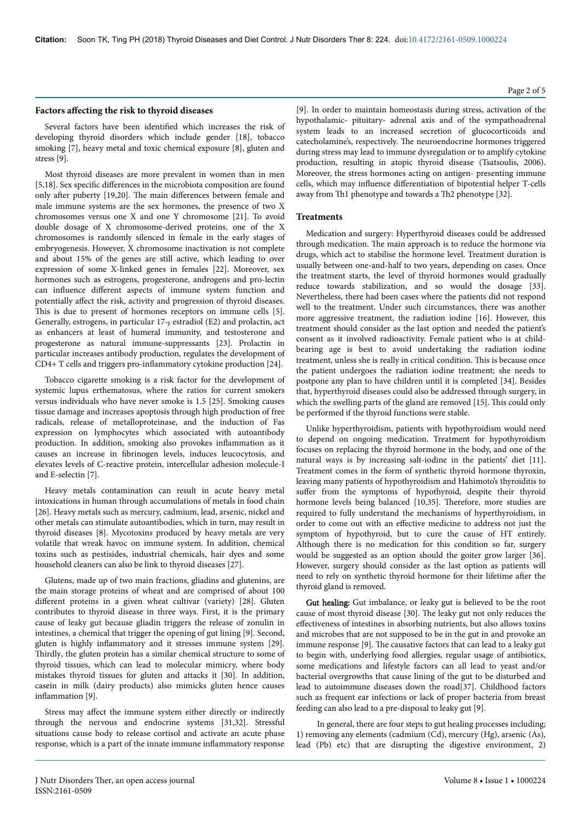#### Factors affecting the risk to thyroid diseases

Several factors have been identified which increases the risk of developing thyroid disorders which include gender [18], tobacco smoking [7], heavy metal and toxic chemical exposure [8], gluten and stress [9].

Most thyroid diseases are more prevalent in women than in men [5,18]. Sex specific differences in the microbiota composition are found only after puberty [19,20]. The main differences between female and male immune systems are the sex hormones, the presence of two X chromosomes versus one X and one Y chromosome [21]. To avoid double dosage of X chromosome-derived proteins, one of the X chromosomes is randomly silenced in female in the early stages of embryogenesis. However, X chromosome inactivation is not complete and about 15% of the genes are still active, which leading to over expression of some X-linked genes in females [22]. Moreover, sex hormones such as estrogens, progesterone, androgens and pro-lectin can influence different aspects of immune system function and potentially affect the risk, activity and progression of thyroid diseases. This is due to present of hormones receptors on immune cells [5]. Generally, estrogens, in particular  $17 - \beta$  estradiol (E2) and prolactin, act as enhancers at least of humeral immunity, and testosterone and progesterone as natural immune-suppressants [23]. Prolactin in particular increases antibody production, regulates the development of CD4+ T cells and triggers pro-inflammatory cytokine production [24].

Tobacco cigarette smoking is a risk factor for the development of systemic lupus erthematosus, where the ratios for current smokers versus individuals who have never smoke is 1.5 [25]. Smoking causes tissue damage and increases apoptosis through high production of free radicals, release of metalloproteinase, and the induction of Fas expression on lymphocytes which associated with autoantibody production. In addition, smoking also provokes inflammation as it causes an increase in fibrinogen levels, induces leucocytosis, and elevates levels of C-reactive protein, intercellular adhesion molecule-I and E-selectin [7].

Heavy metals contamination can result in acute heavy metal intoxications in human through accumulations of metals in food chain [26]. Heavy metals such as mercury, cadmium, lead, arsenic, nickel and other metals can stimulate autoantibodies, which in turn, may result in thyroid diseases [8]. Mycotoxins produced by heavy metals are very volatile that wreak havoc on immune system. In addition, chemical toxins such as pestisides, industrial chemicals, hair dyes and some household cleaners can also be link to thyroid diseases [27].

Glutens, made up of two main fractions, gliadins and glutenins, are the main storage proteins of wheat and are comprised of about 100 different proteins in a given wheat cultivar (variety) [28]. Gluten contributes to thyroid disease in three ways. First, it is the primary cause of leaky gut because gliadin triggers the release of zonulin in intestines, a chemical that trigger the opening of gut lining [9]. Second, gluten is highly inflammatory and it stresses immune system [29]. Thirdly, the gluten protein has a similar chemical structure to some of thyroid tissues, which can lead to molecular mimicry, where body mistakes thyroid tissues for gluten and attacks it [30]. In addition, casein in milk (dairy products) also mimicks gluten hence causes inflammation [9].

Stress may affect the immune system either directly or indirectly through the nervous and endocrine systems [31,32]. Stressful situations cause body to release cortisol and activate an acute phase response, which is a part of the innate immune inflammatory response

[9]. In order to maintain homeostasis during stress, activation of the hypothalamic- pituitary- adrenal axis and of the sympathoadrenal system leads to an increased secretion of glucocorticoids and catecholamine's, respectively. Нe neuroendocrine hormones triggered during stress may lead to immune dysregulation or to amplify cytokine production, resulting in atopic thyroid disease (Tsatsoulis, 2006). Moreover, the stress hormones acting on antigen- presenting immune cells, which may influence differentiation of bipotential helper T-cells away from Н1 phenotype and towards a Н2 phenotype [32].

## **Treatments**

Medication and surgery: Hyperthyroid diseases could be addressed through medication. Нe main approach is to reduce the hormone via drugs, which act to stabilise the hormone level. Treatment duration is usually between one-and-half to two years, depending on cases. Once the treatment starts, the level of thyroid hormones would gradually reduce towards stabilization, and so would the dosage [33]. Nevertheless, there had been cases where the patients did not respond well to the treatment. Under such circumstances, there was another more aggressive treatment, the radiation iodine [16]. However, this treatment should consider as the last option and needed the patient's consent as it involved radioactivity. Female patient who is at childbearing age is best to avoid undertaking the radiation iodine treatment, unless she is really in critical condition. This is because once the patient undergoes the radiation iodine treatment; she needs to postpone any plan to have children until it is completed [34]. Besides that, hyperthyroid diseases could also be addressed through surgery, in which the swelling parts of the gland are removed [15]. This could only be performed if the thyroid functions were stable.

Unlike hyperthyroidism, patients with hypothyroidism would need to depend on ongoing medication. Treatment for hypothyroidism focuses on replacing the thyroid hormone in the body, and one of the natural ways is by increasing salt-iodine in the patients' diet [11]. Treatment comes in the form of synthetic thyroid hormone thyroxin, leaving many patients of hypothyroidism and Hahimoto's thyroiditis to suffer from the symptoms of hypothyroid, despite their thyroid hormone levels being balanced [10,35]. Therefore, more studies are required to fully understand the mechanisms of hyperthyroidism, in order to come out with an effective medicine to address not just the symptom of hypothyroid, but to cure the cause of HT entirely. Although there is no medication for this condition so far, surgery would be suggested as an option should the goiter grow larger [36]. However, surgery should consider as the last option as patients will need to rely on synthetic thyroid hormone for their lifetime after the thyroid gland is removed.

Gut healing: Gut imbalance, or leaky gut is believed to be the root cause of most thyroid disease [30]. Нe leaky gut not only reduces the effectiveness of intestines in absorbing nutrients, but also allows toxins and microbes that are not supposed to be in the gut in and provoke an immune response [9]. Нe causative factors that can lead to a leaky gut to begin with, underlying food allergies, regular usage of antibiotics, some medications and lifestyle factors can all lead to yeast and/or bacterial overgrowths that cause lining of the gut to be disturbed and lead to autoimmune diseases down the road[37]. Childhood factors such as frequent ear infections or lack of proper bacteria from breast feeding can also lead to a pre-disposal to leaky gut [9].

In general, there are four steps to gut healing processes including; 1) removing any elements (cadmium (Cd), mercury (Hg), arsenic (As), lead (Pb) etc) that are disrupting the digestive environment, 2)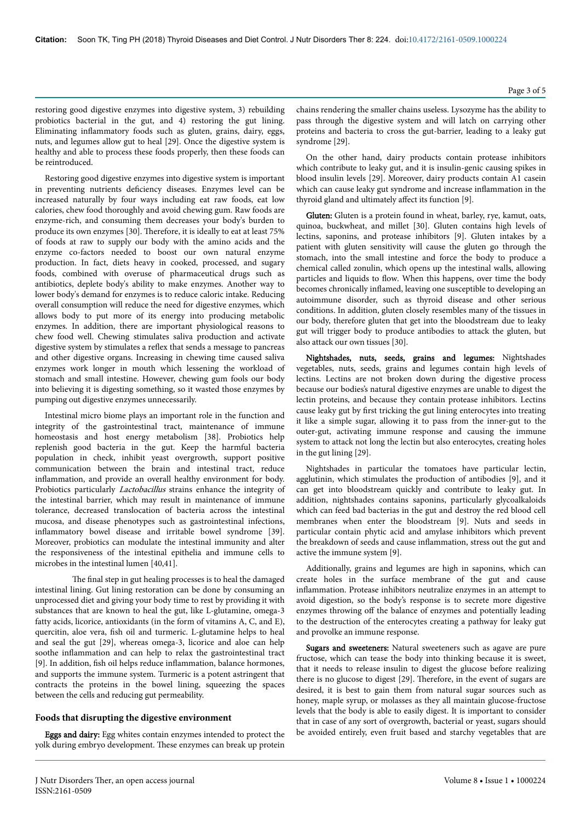restoring good digestive enzymes into digestive system, 3) rebuilding probiotics bacterial in the gut, and 4) restoring the gut lining. Eliminating inflammatory foods such as gluten, grains, dairy, eggs, nuts, and legumes allow gut to heal [29]. Once the digestive system is healthy and able to process these foods properly, then these foods can be reintroduced.

Restoring good digestive enzymes into digestive system is important in preventing nutrients deficiency diseases. Enzymes level can be increased naturally by four ways including eat raw foods, eat low calories, chew food thoroughly and avoid chewing gum. Raw foods are enzyme-rich, and consuming them decreases your body's burden to produce its own enzymes [30]. Нerefore, it is ideally to eat at least 75% of foods at raw to supply our body with the amino acids and the enzyme co-factors needed to boost our own natural enzyme production. In fact, diets heavy in cooked, processed, and sugary foods, combined with overuse of pharmaceutical drugs such as antibiotics, deplete body's ability to make enzymes. Another way to lower body's demand for enzymes is to reduce caloric intake. Reducing overall consumption will reduce the need for digestive enzymes, which allows body to put more of its energy into producing metabolic enzymes. In addition, there are important physiological reasons to chew food well. Chewing stimulates saliva production and activate digestive system by stimulates a reflex that sends a message to pancreas and other digestive organs. Increasing in chewing time caused saliva enzymes work longer in mouth which lessening the workload of stomach and small intestine. However, chewing gum fools our body into believing it is digesting something, so it wasted those enzymes by pumping out digestive enzymes unnecessarily.

Intestinal micro biome plays an important role in the function and integrity of the gastrointestinal tract, maintenance of immune homeostasis and host energy metabolism [38]. Probiotics help replenish good bacteria in the gut. Keep the harmful bacteria population in check, inhibit yeast overgrowth, support positive communication between the brain and intestinal tract, reduce inflammation, and provide an overall healthy environment for body. Probiotics particularly *Lactobacillus* strains enhance the integrity of the intestinal barrier, which may result in maintenance of immune tolerance, decreased translocation of bacteria across the intestinal mucosa, and disease phenotypes such as gastrointestinal infections, inflammatory bowel disease and irritable bowel syndrome [39]. Moreover, probiotics can modulate the intestinal immunity and alter the responsiveness of the intestinal epithelia and immune cells to microbes in the intestinal lumen [40,41].

The final step in gut healing processes is to heal the damaged intestinal lining. Gut lining restoration can be done by consuming an unprocessed diet and giving your body time to rest by providing it with substances that are known to heal the gut, like L-glutamine, omega-3 fatty acids, licorice, antioxidants (in the form of vitamins A, C, and E), quercitin, aloe vera, fish oil and turmeric. L-glutamine helps to heal and seal the gut [29], whereas omega-3, licorice and aloe can help soothe inflammation and can help to relax the gastrointestinal tract [9]. In addition, fish oil helps reduce inflammation, balance hormones, and supports the immune system. Turmeric is a potent astringent that contracts the proteins in the bowel lining, squeezing the spaces between the cells and reducing gut permeability.

#### **Foods that disrupting the digestive environment**

Eggs and dairy: Egg whites contain enzymes intended to protect the yolk during embryo development. Нese enzymes can break up protein

chains rendering the smaller chains useless. Lysozyme has the ability to pass through the digestive system and will latch on carrying other proteins and bacteria to cross the gut-barrier, leading to a leaky gut syndrome [29].

On the other hand, dairy products contain protease inhibitors which contribute to leaky gut, and it is insulin-genic causing spikes in blood insulin levels [29]. Moreover, dairy products contain A1 casein which can cause leaky gut syndrome and increase inflammation in the thyroid gland and ultimately affect its function [9].

Gluten: Gluten is a protein found in wheat, barley, rye, kamut, oats, quinoa, buckwheat, and millet [30]. Gluten contains high levels of lectins, saponins, and protease inhibitors [9]. Gluten intakes by a patient with gluten sensitivity will cause the gluten go through the stomach, into the small intestine and force the body to produce a chemical called zonulin, which opens up the intestinal walls, allowing particles and liquids to flow. When this happens, over time the body becomes chronically inflamed, leaving one susceptible to developing an autoimmune disorder, such as thyroid disease and other serious conditions. In addition, gluten closely resembles many of the tissues in our body, therefore gluten that get into the bloodstream due to leaky gut will trigger body to produce antibodies to attack the gluten, but also attack our own tissues [30].

Nightshades, nuts, seeds, grains and legumes: Nightshades vegetables, nuts, seeds, grains and legumes contain high levels of lectins. Lectins are not broken down during the digestive process because our bodies's natural digestive enzymes are unable to digest the lectin proteins, and because they contain protease inhibitors. Lectins cause leaky gut by first tricking the gut lining enterocytes into treating it like a simple sugar, allowing it to pass from the inner-gut to the outer-gut, activating immune response and causing the immune system to attack not long the lectin but also enterocytes, creating holes in the gut lining [29].

Nightshades in particular the tomatoes have particular lectin, agglutinin, which stimulates the production of antibodies [9], and it can get into bloodstream quickly and contribute to leaky gut. In addition, nightshades contains saponins, particularly glycoalkaloids which can feed bad bacterias in the gut and destroy the red blood cell membranes when enter the bloodstream [9]. Nuts and seeds in particular contain phytic acid and amylase inhibitors which prevent the breakdown of seeds and cause inflammation, stress out the gut and active the immune system [9].

Additionally, grains and legumes are high in saponins, which can create holes in the surface membrane of the gut and cause inflammation. Protease inhibitors neutralize enzymes in an attempt to avoid digestion, so the body's response is to secrete more digestive enzymes throwing off the balance of enzymes and potentially leading to the destruction of the enterocytes creating a pathway for leaky gut and provolke an immune response.

Sugars and sweeteners: Natural sweeteners such as agave are pure fructose, which can tease the body into thinking because it is sweet, that it needs to release insulin to digest the glucose before realizing there is no glucose to digest [29]. Нerefore, in the event of sugars are desired, it is best to gain them from natural sugar sources such as honey, maple syrup, or molasses as they all maintain glucose-fructose levels that the body is able to easily digest. It is important to consider that in case of any sort of overgrowth, bacterial or yeast, sugars should be avoided entirely, even fruit based and starchy vegetables that are

## Page 3 of 5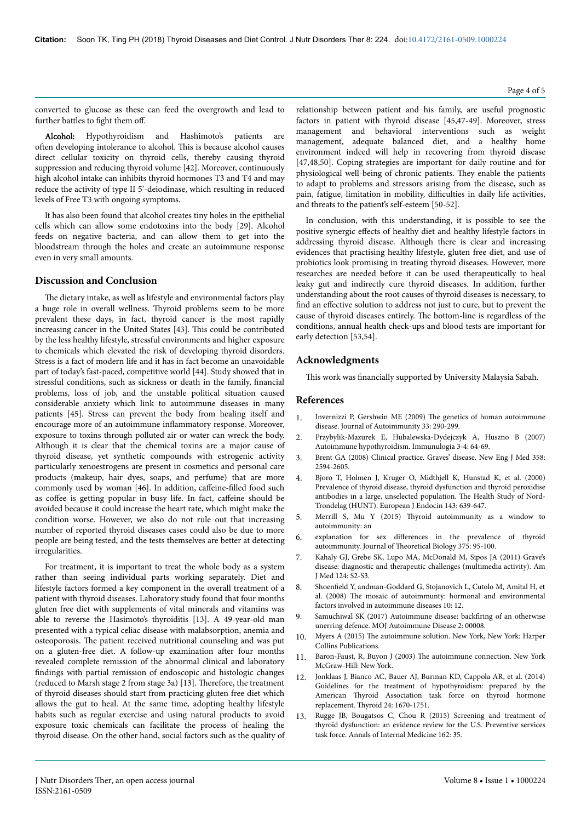converted to glucose as these can feed the overgrowth and lead to further battles to fight them off.

Alcohol: Hypothyroidism and Hashimoto's patients are often developing intolerance to alcohol. This is because alcohol causes direct cellular toxicity on thyroid cells, thereby causing thyroid suppression and reducing thyroid volume [42]. Moreover, continuously high alcohol intake can inhibits thyroid hormones T3 and T4 and may reduce the activity of type II 5'-deiodinase, which resulting in reduced levels of Free T3 with ongoing symptoms.

It has also been found that alcohol creates tiny holes in the epithelial cells which can allow some endotoxins into the body [29]. Alcohol feeds on negative bacteria, and can allow them to get into the bloodstream through the holes and create an autoimmune response even in very small amounts.

#### **Discussion and Conclusion**

The dietary intake, as well as lifestyle and environmental factors play a huge role in overall wellness. Нyroid problems seem to be more prevalent these days, in fact, thyroid cancer is the most rapidly increasing cancer in the United States [43]. Нis could be contributed by the less healthy lifestyle, stressful environments and higher exposure to chemicals which elevated the risk of developing thyroid disorders. Stress is a fact of modern life and it has in fact become an unavoidable part of today's fast-paced, competitive world [44]. Study showed that in stressful conditions, such as sickness or death in the family, financial problems, loss of job, and the unstable political situation caused considerable anxiety which link to autoimmune diseases in many patients [45]. Stress can prevent the body from healing itself and encourage more of an autoimmune inflammatory response. Moreover, exposure to toxins through polluted air or water can wreck the body. Although it is clear that the chemical toxins are a major cause of thyroid disease, yet synthetic compounds with estrogenic activity particularly xenoestrogens are present in cosmetics and personal care products (makeup, hair dyes, soaps, and perfume) that are more commonly used by woman  $[46]$ . In addition, caffeine-filled food such as coffee is getting popular in busy life. In fact, caffeine should be avoided because it could increase the heart rate, which might make the condition worse. However, we also do not rule out that increasing number of reported thyroid diseases cases could also be due to more people are being tested, and the tests themselves are better at detecting irregularities.

For treatment, it is important to treat the whole body as a system rather than seeing individual parts working separately. Diet and lifestyle factors formed a key component in the overall treatment of a patient with thyroid diseases. Laboratory study found that four months gluten free diet with supplements of vital minerals and vitamins was able to reverse the Hasimoto's thyroiditis [13]. A 49-year-old man presented with a typical celiac disease with malabsorption, anemia and osteoporosis. Нe patient received nutritional counseling and was put on a gluten-free diet. A follow-up examination after four months revealed complete remission of the abnormal clinical and laboratory findings with partial remission of endoscopic and histologic changes (reduced to Marsh stage 2 from stage 3a) [13]. Нerefore, the treatment of thyroid diseases should start from practicing gluten free diet which allows the gut to heal. At the same time, adopting healthy lifestyle habits such as regular exercise and using natural products to avoid exposure toxic chemicals can facilitate the process of healing the thyroid disease. On the other hand, social factors such as the quality of

ISSN:2161-0509

relationship between patient and his family, are useful prognostic factors in patient with thyroid disease [45,47-49]. Moreover, stress management and behavioral interventions such as weight management, adequate balanced diet, and a healthy home environment indeed will help in recovering from thyroid disease [47,48,50]. Coping strategies are important for daily routine and for physiological well-being of chronic patients. Нey enable the patients to adapt to problems and stressors arising from the disease, such as pain, fatigue, limitation in mobility, difficulties in daily life activities, and threats to the patient's self-esteem [50-52].

In conclusion, with this understanding, it is possible to see the positive synergic effects of healthy diet and healthy lifestyle factors in addressing thyroid disease. Although there is clear and increasing evidences that practising healthy lifestyle, gluten free diet, and use of probiotics look promising in treating thyroid diseases. However, more researches are needed before it can be used therapeutically to heal leaky gut and indirectly cure thyroid diseases. In addition, further understanding about the root causes of thyroid diseases is necessary, to find an effective solution to address not just to cure, but to prevent the cause of thyroid diseases entirely. Нe bottom-line is regardless of the conditions, annual health check-ups and blood tests are important for early detection [53,54].

# **Acknowledgments**

This work was financially supported by University Malaysia Sabah.

## **References**

- 1. [Invernizzi P, Gershwin ME \(2009\)](https://doi.org/10.1016/j.jaut.2009.07.008) Нe genetics of human autoimmune [disease. Journal of Autoimmunity 33: 290-299.](https://doi.org/10.1016/j.jaut.2009.07.008)
- 2. Przybylik-Mazurek E, Hubalewska-Dydejczyk A, Huszno B (2007) Autoimmune hypothyroidism. Immunulogia 3-4: 64-69.
- 3. Brent GA (2008) Clinical practice. Graves' disease. New Eng J Med 358: 2594-2605.
- 4. [Bjoro T, Holmen J, Kruger O, Midthjell K, Hunstad K, et al. \(2000\)](https://doi.org/10.1530/eje.0.1430639) [Prevalence of thyroid disease, thyroid dysfunction and thyroid peroxidise](https://doi.org/10.1530/eje.0.1430639) [antibodies in a large, unselected population.](https://doi.org/10.1530/eje.0.1430639) Нe Health Study of Nord-[Trondelag \(HUNT\). European J Endocin 143: 639-647.](https://doi.org/10.1530/eje.0.1430639)
- 5. Merrill S, Mu Y (2015) Нyroid autoimmunity as a window to autoimmunity: an
- 6. explanation for sex differences in the prevalence of thyroid autoimmunity. Journal of Нeoretical Biology 375: 95-100.
- 7. [Kahaly GJ, Grebe SK, Lupo MA, McDonald M, Sipos JA \(2011\) Grave's](https://doi.org/10.1016/j.amjmed.2011.03.001) [disease: diagnostic and therapeutic challenges \(multimedia activity\). Am](https://doi.org/10.1016/j.amjmed.2011.03.001) [J Med 124: S2-S3.](https://doi.org/10.1016/j.amjmed.2011.03.001)
- 8. Shoenfield Y, andman-Goddard G, Stojanovich L, Cutolo M, Amital H, et al. (2008) Нe mosaic of autoimmunty: hormonal and environmental factors involved in autoimmune diseases 10: 12.
- Samuchiwal SK (2017) Autoimmune disease: backfiring of an otherwise unerring defence. MOJ Autoimmune Disease 2: 00008.
- 10. Myers A (2015) Нe autoimmune solution. New York, New York: Harper Collins Publications.
- 11. Baron-Faust, R, Buyon J (2003) The autoimmune connection. New York McGraw-Hill: New York.
- 12. Jonklaas J, Bianco AC, Bauer AJ, Burman KD, Cappola AR, et al. (2014) Guidelines for the treatment of hypothyroidism: prepared by the American Нyroid Association task force on thyroid hormone replacement. Нyroid 24: 1670-1751.
- 13. [Rugge JB, Bougatsos C, Chou R \(2015\) Screening and treatment of](https://doi.org/10.7326/m14-1456) [thyroid dysfunction: an evidence review for the U.S. Preventive services](https://doi.org/10.7326/m14-1456) [task force. Annals of Internal Medicine 162: 35.](https://doi.org/10.7326/m14-1456)

## Page 4 of 5